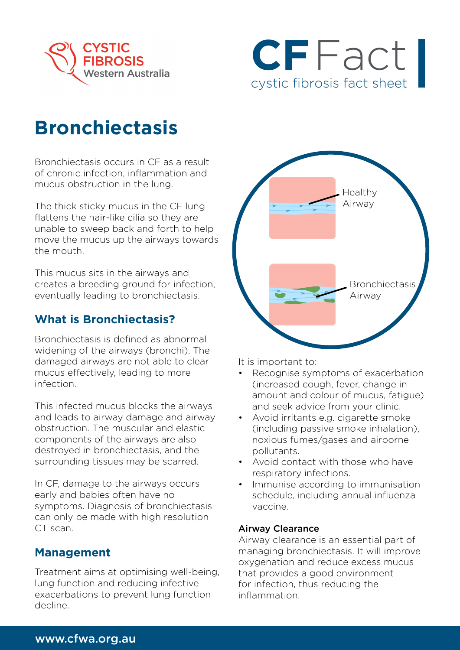



# **Bronchiectasis**

Bronchiectasis occurs in CF as a result of chronic infection, inflammation and mucus obstruction in the lung.

The thick sticky mucus in the CF lung flattens the hair-like cilia so they are unable to sweep back and forth to help move the mucus up the airways towards the mouth.

This mucus sits in the airways and creates a breeding ground for infection, eventually leading to bronchiectasis.

## **What is Bronchiectasis?**

Bronchiectasis is defined as abnormal widening of the airways (bronchi). The damaged airways are not able to clear mucus effectively, leading to more infection.

This infected mucus blocks the airways and leads to airway damage and airway obstruction. The muscular and elastic components of the airways are also destroyed in bronchiectasis, and the surrounding tissues may be scarred.

In CF, damage to the airways occurs early and babies often have no symptoms. Diagnosis of bronchiectasis can only be made with high resolution CT scan.

## **Management**

Treatment aims at optimising well-being, lung function and reducing infective exacerbations to prevent lung function decline.



It is important to:

- Recognise symptoms of exacerbation (increased cough, fever, change in amount and colour of mucus, fatigue) and seek advice from your clinic.
- Avoid irritants e.g. cigarette smoke (including passive smoke inhalation), noxious fumes/gases and airborne pollutants.
- Avoid contact with those who have respiratory infections.
- Immunise according to immunisation schedule, including annual influenza vaccine.

### Airway Clearance

Airway clearance is an essential part of managing bronchiectasis. It will improve oxygenation and reduce excess mucus that provides a good environment for infection, thus reducing the inflammation.